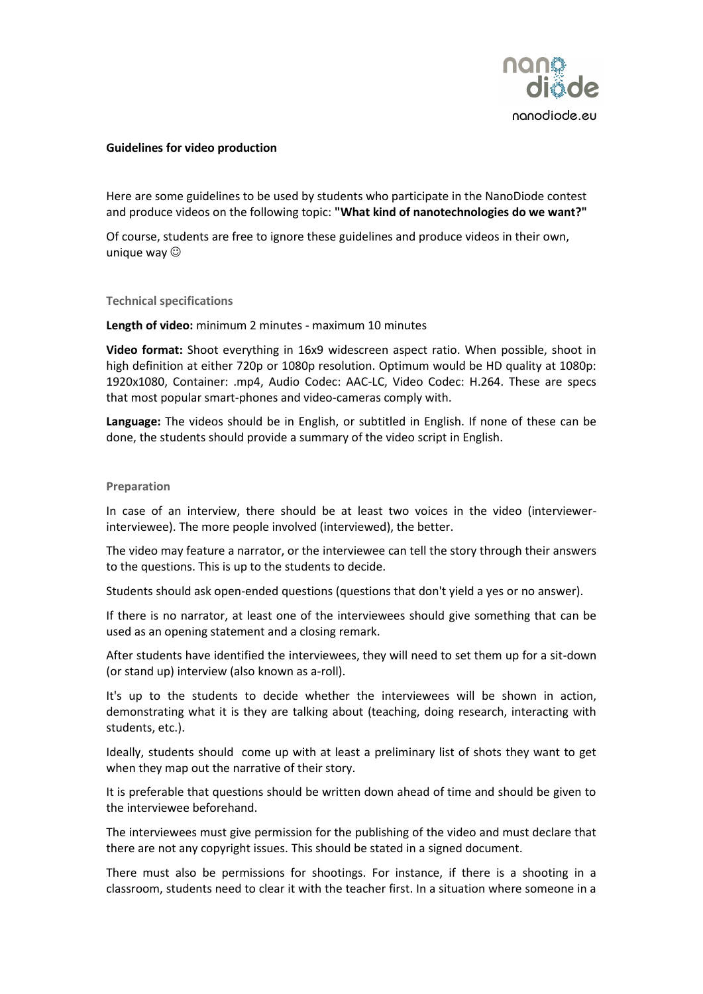

## **Guidelines for video production**

Here are some guidelines to be used by students who participate in the NanoDiode contest and produce videos on the following topic: **"What kind of nanotechnologies do we want?"**

Of course, students are free to ignore these guidelines and produce videos in their own, unique way  $\odot$ 

**Technical specifications**

**Length of video:** minimum 2 minutes - maximum 10 minutes

**Video format:** Shoot everything in 16x9 widescreen aspect ratio. When possible, shoot in high definition at either 720p or 1080p resolution. Optimum would be HD quality at 1080p: 1920x1080, Container: .mp4, Audio Codec: AAC-LC, Video Codec: H.264. These are specs that most popular smart-phones and video-cameras comply with.

**Language:** The videos should be in English, or subtitled in English. If none of these can be done, the students should provide a summary of the video script in English.

## **Preparation**

In case of an interview, there should be at least two voices in the video (interviewerinterviewee). The more people involved (interviewed), the better.

The video may feature a narrator, or the interviewee can tell the story through their answers to the questions. This is up to the students to decide.

Students should ask open-ended questions (questions that don't yield a yes or no answer).

If there is no narrator, at least one of the interviewees should give something that can be used as an opening statement and a closing remark.

After students have identified the interviewees, they will need to set them up for a sit-down (or stand up) interview (also known as a-roll).

It's up to the students to decide whether the interviewees will be shown in action, demonstrating what it is they are talking about (teaching, doing research, interacting with students, etc.).

Ideally, students should come up with at least a preliminary list of shots they want to get when they map out the narrative of their story.

It is preferable that questions should be written down ahead of time and should be given to the interviewee beforehand.

The interviewees must give permission for the publishing of the video and must declare that there are not any copyright issues. This should be stated in a signed document.

There must also be permissions for shootings. For instance, if there is a shooting in a classroom, students need to clear it with the teacher first. In a situation where someone in a